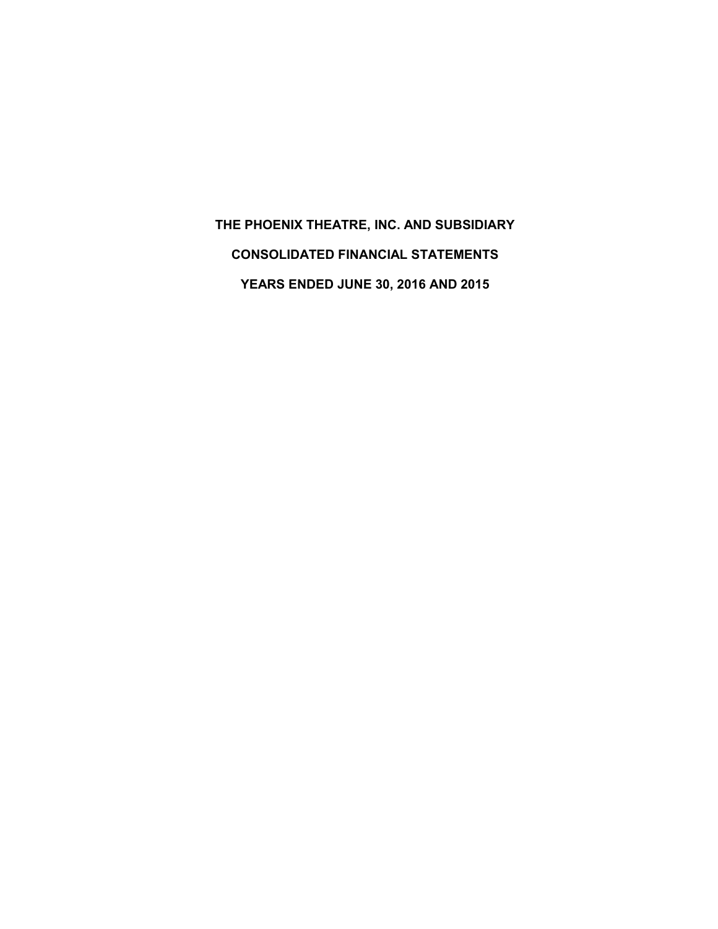**THE PHOENIX THEATRE, INC. AND SUBSIDIARY CONSOLIDATED FINANCIAL STATEMENTS YEARS ENDED JUNE 30, 2016 AND 2015**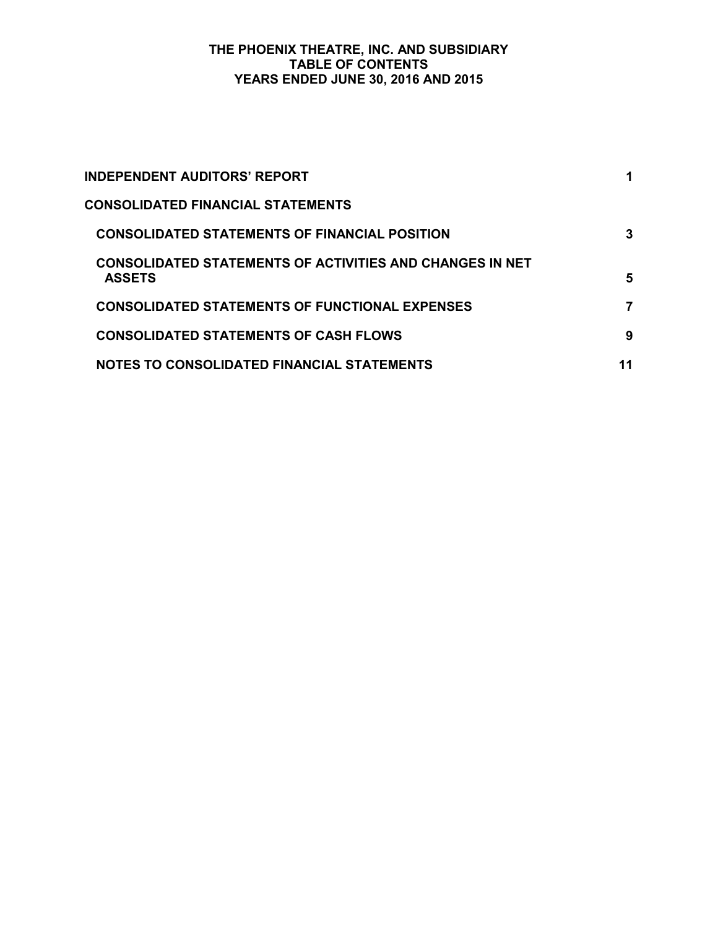### **THE PHOENIX THEATRE, INC. AND SUBSIDIARY TABLE OF CONTENTS YEARS ENDED JUNE 30, 2016 AND 2015**

| INDEPENDENT AUDITORS' REPORT                                                     |    |
|----------------------------------------------------------------------------------|----|
| <b>CONSOLIDATED FINANCIAL STATEMENTS</b>                                         |    |
| <b>CONSOLIDATED STATEMENTS OF FINANCIAL POSITION</b>                             | 3  |
| <b>CONSOLIDATED STATEMENTS OF ACTIVITIES AND CHANGES IN NET</b><br><b>ASSETS</b> | 5  |
| <b>CONSOLIDATED STATEMENTS OF FUNCTIONAL EXPENSES</b>                            | 7  |
| <b>CONSOLIDATED STATEMENTS OF CASH FLOWS</b>                                     | 9  |
| NOTES TO CONSOLIDATED FINANCIAL STATEMENTS                                       | 11 |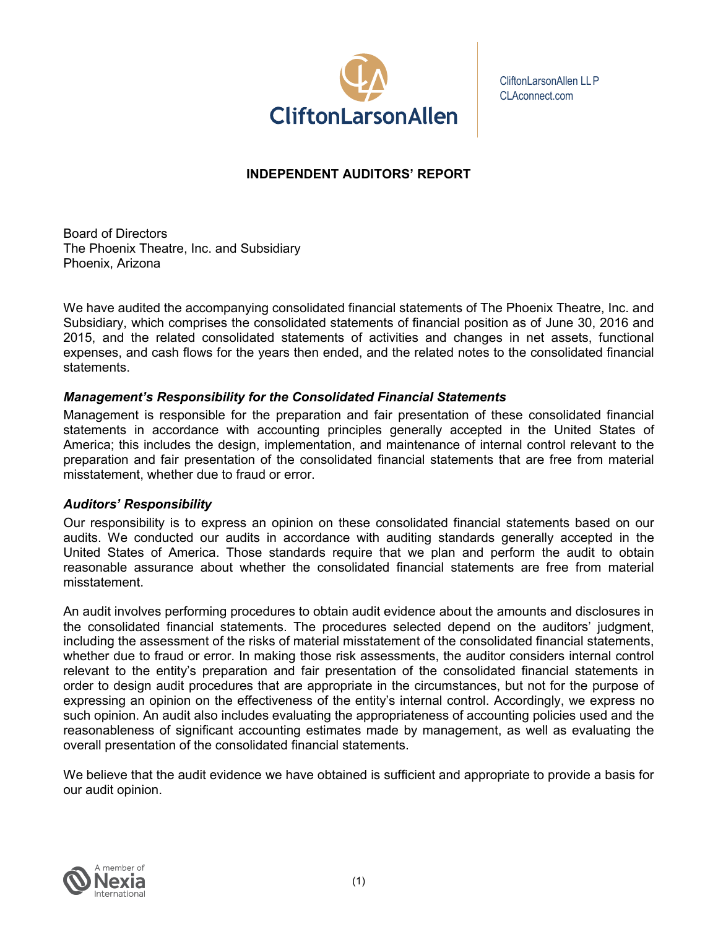

CliftonLarsonAllen LLP CLAconnect.com

# **INDEPENDENT AUDITORS' REPORT**

Board of Directors The Phoenix Theatre, Inc. and Subsidiary Phoenix, Arizona

We have audited the accompanying consolidated financial statements of The Phoenix Theatre, Inc. and Subsidiary, which comprises the consolidated statements of financial position as of June 30, 2016 and 2015, and the related consolidated statements of activities and changes in net assets, functional expenses, and cash flows for the years then ended, and the related notes to the consolidated financial statements.

# *Management's Responsibility for the Consolidated Financial Statements*

Management is responsible for the preparation and fair presentation of these consolidated financial statements in accordance with accounting principles generally accepted in the United States of America; this includes the design, implementation, and maintenance of internal control relevant to the preparation and fair presentation of the consolidated financial statements that are free from material misstatement, whether due to fraud or error.

## *Auditors' Responsibility*

Our responsibility is to express an opinion on these consolidated financial statements based on our audits. We conducted our audits in accordance with auditing standards generally accepted in the United States of America. Those standards require that we plan and perform the audit to obtain reasonable assurance about whether the consolidated financial statements are free from material misstatement.

An audit involves performing procedures to obtain audit evidence about the amounts and disclosures in the consolidated financial statements. The procedures selected depend on the auditors' judgment, including the assessment of the risks of material misstatement of the consolidated financial statements, whether due to fraud or error. In making those risk assessments, the auditor considers internal control relevant to the entity's preparation and fair presentation of the consolidated financial statements in order to design audit procedures that are appropriate in the circumstances, but not for the purpose of expressing an opinion on the effectiveness of the entity's internal control. Accordingly, we express no such opinion. An audit also includes evaluating the appropriateness of accounting policies used and the reasonableness of significant accounting estimates made by management, as well as evaluating the overall presentation of the consolidated financial statements.

We believe that the audit evidence we have obtained is sufficient and appropriate to provide a basis for our audit opinion.

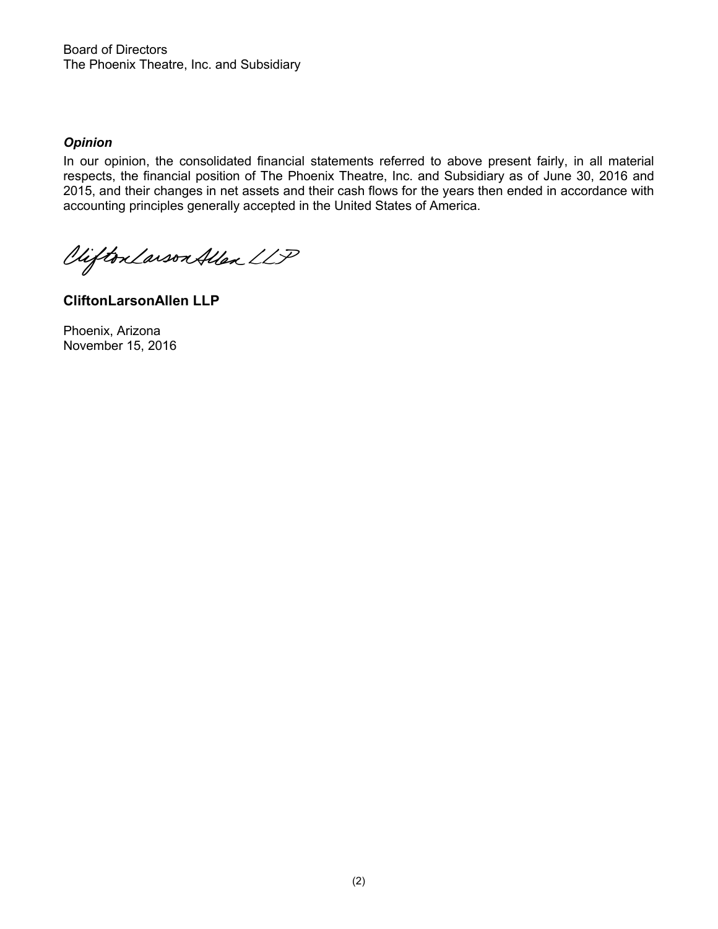Board of Directors The Phoenix Theatre, Inc. and Subsidiary

## *Opinion*

In our opinion, the consolidated financial statements referred to above present fairly, in all material respects, the financial position of The Phoenix Theatre, Inc. and Subsidiary as of June 30, 2016 and 2015, and their changes in net assets and their cash flows for the years then ended in accordance with accounting principles generally accepted in the United States of America.

Vifton Larson Allen LLP

**CliftonLarsonAllen LLP**

Phoenix, Arizona November 15, 2016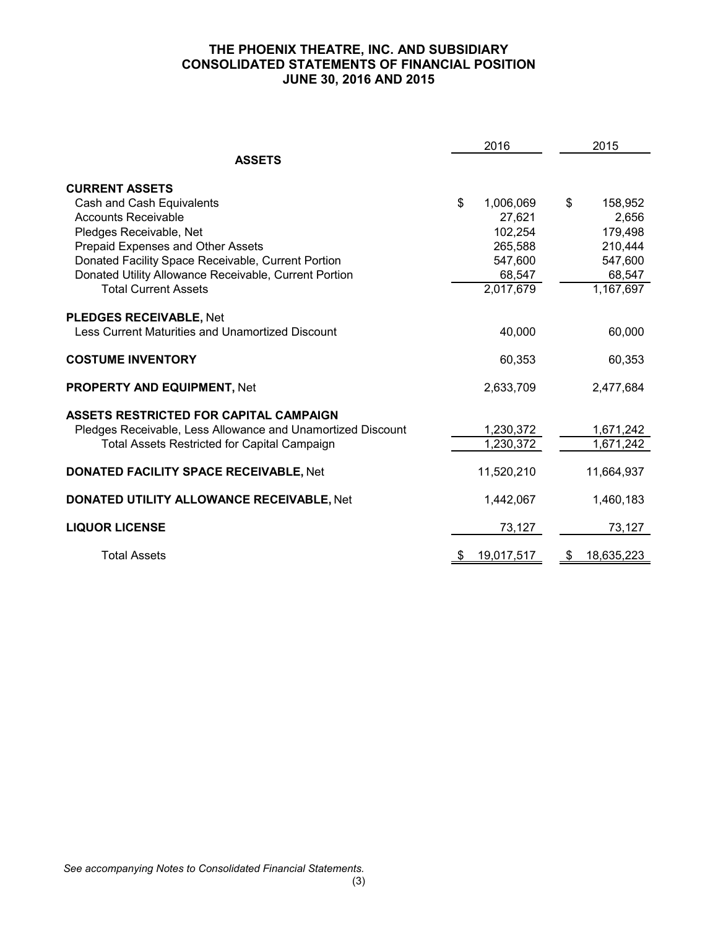## **THE PHOENIX THEATRE, INC. AND SUBSIDIARY CONSOLIDATED STATEMENTS OF FINANCIAL POSITION JUNE 30, 2016 AND 2015**

|                                                             | 2016             | 2015                   |
|-------------------------------------------------------------|------------------|------------------------|
| <b>ASSETS</b>                                               |                  |                        |
| <b>CURRENT ASSETS</b>                                       |                  |                        |
| Cash and Cash Equivalents                                   | \$<br>1,006,069  | \$<br>158,952          |
| <b>Accounts Receivable</b>                                  | 27,621           | 2,656                  |
| Pledges Receivable, Net                                     | 102,254          | 179,498                |
| Prepaid Expenses and Other Assets                           | 265,588          | 210,444                |
| Donated Facility Space Receivable, Current Portion          | 547,600          | 547,600                |
| Donated Utility Allowance Receivable, Current Portion       | 68,547           | 68,547                 |
| <b>Total Current Assets</b>                                 | 2,017,679        | $\overline{1,}167,697$ |
| <b>PLEDGES RECEIVABLE, Net</b>                              |                  |                        |
| <b>Less Current Maturities and Unamortized Discount</b>     | 40,000           | 60,000                 |
| <b>COSTUME INVENTORY</b>                                    | 60,353           | 60,353                 |
| <b>PROPERTY AND EQUIPMENT, Net</b>                          | 2,633,709        | 2,477,684              |
| ASSETS RESTRICTED FOR CAPITAL CAMPAIGN                      |                  |                        |
| Pledges Receivable, Less Allowance and Unamortized Discount | 1,230,372        | 1,671,242              |
| Total Assets Restricted for Capital Campaign                | 1,230,372        | 1,671,242              |
| <b>DONATED FACILITY SPACE RECEIVABLE, Net</b>               | 11,520,210       | 11,664,937             |
| <b>DONATED UTILITY ALLOWANCE RECEIVABLE, Net</b>            | 1,442,067        | 1,460,183              |
| <b>LIQUOR LICENSE</b>                                       | 73,127           | 73,127                 |
| <b>Total Assets</b>                                         | \$<br>19,017,517 | \$<br>18,635,223       |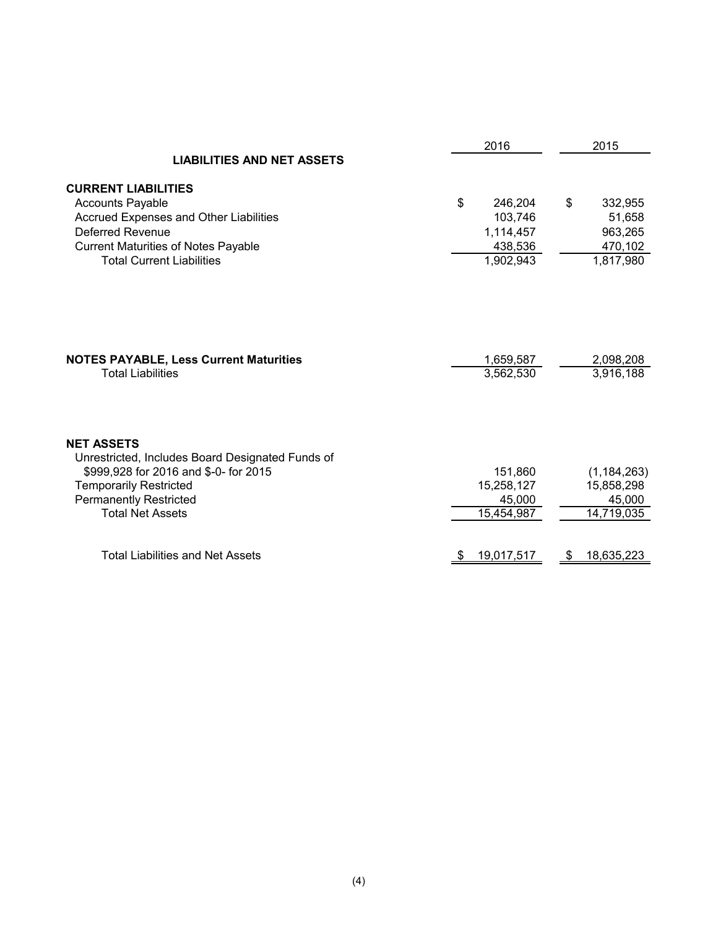|                                                                                                                | 2016                   |                        |
|----------------------------------------------------------------------------------------------------------------|------------------------|------------------------|
| <b>LIABILITIES AND NET ASSETS</b>                                                                              |                        |                        |
| <b>CURRENT LIABILITIES</b>                                                                                     |                        |                        |
| <b>Accounts Payable</b>                                                                                        | \$<br>246,204          | \$<br>332,955          |
| Accrued Expenses and Other Liabilities                                                                         | 103,746                | 51,658                 |
| Deferred Revenue                                                                                               | 1,114,457              | 963,265                |
| <b>Current Maturities of Notes Payable</b>                                                                     | 438,536                | 470,102                |
| <b>Total Current Liabilities</b>                                                                               | 1,902,943              | 1,817,980              |
| <b>NOTES PAYABLE, Less Current Maturities</b><br><b>Total Liabilities</b>                                      | 1,659,587<br>3,562,530 | 2,098,208<br>3,916,188 |
| <b>NET ASSETS</b><br>Unrestricted, Includes Board Designated Funds of<br>\$999,928 for 2016 and \$-0- for 2015 | 151,860                | (1, 184, 263)          |
| <b>Temporarily Restricted</b>                                                                                  | 15,258,127<br>45,000   | 15,858,298             |
| <b>Permanently Restricted</b><br><b>Total Net Assets</b>                                                       | 15,454,987             | 45,000<br>14,719,035   |
|                                                                                                                |                        |                        |
| <b>Total Liabilities and Net Assets</b>                                                                        | 19,017,517             | 18,635,223<br>Ъ        |
|                                                                                                                |                        |                        |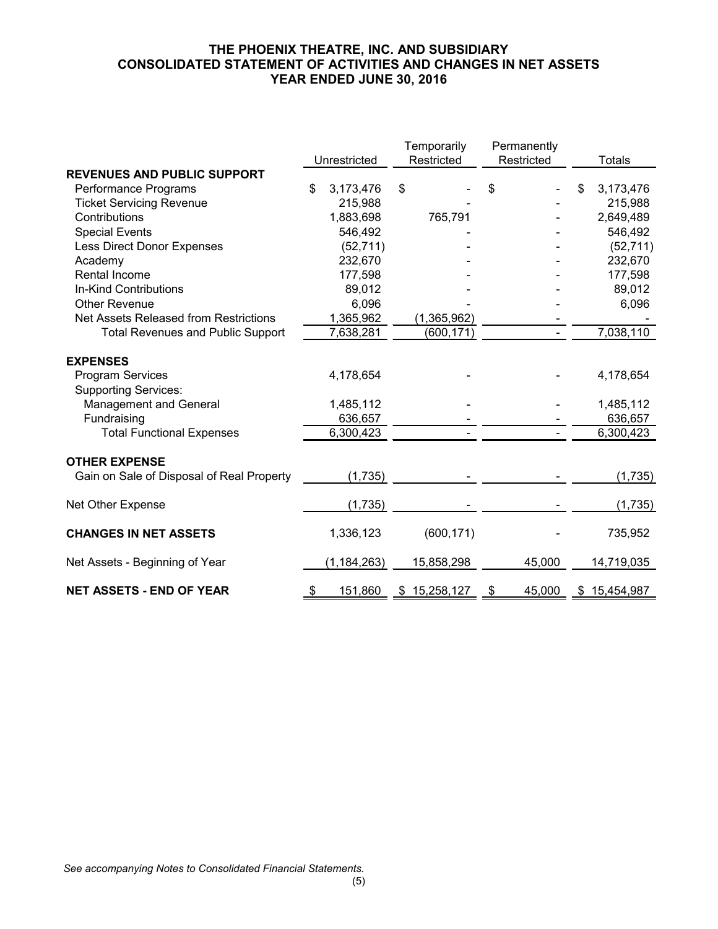## **THE PHOENIX THEATRE, INC. AND SUBSIDIARY CONSOLIDATED STATEMENT OF ACTIVITIES AND CHANGES IN NET ASSETS YEAR ENDED JUNE 30, 2016**

|                                              |                 | Temporarily  | Permanently  |   |               |
|----------------------------------------------|-----------------|--------------|--------------|---|---------------|
|                                              | Unrestricted    | Restricted   | Restricted   |   | <b>Totals</b> |
| <b>REVENUES AND PUBLIC SUPPORT</b>           |                 |              |              |   |               |
| Performance Programs                         | \$<br>3,173,476 | \$           | \$           | S | 3,173,476     |
| <b>Ticket Servicing Revenue</b>              | 215,988         |              |              |   | 215,988       |
| Contributions                                | 1,883,698       | 765,791      |              |   | 2,649,489     |
| <b>Special Events</b>                        | 546,492         |              |              |   | 546,492       |
| <b>Less Direct Donor Expenses</b>            | (52, 711)       |              |              |   | (52, 711)     |
| Academy                                      | 232,670         |              |              |   | 232,670       |
| Rental Income                                | 177,598         |              |              |   | 177,598       |
| <b>In-Kind Contributions</b>                 | 89,012          |              |              |   | 89,012        |
| <b>Other Revenue</b>                         | 6,096           |              |              |   | 6,096         |
| Net Assets Released from Restrictions        | 1,365,962       | (1,365,962)  |              |   |               |
| <b>Total Revenues and Public Support</b>     | 7,638,281       | (600, 171)   |              |   | 7,038,110     |
| <b>EXPENSES</b><br><b>Program Services</b>   | 4,178,654       |              |              |   | 4,178,654     |
| <b>Supporting Services:</b>                  | 1,485,112       |              |              |   | 1,485,112     |
| <b>Management and General</b><br>Fundraising | 636,657         |              |              |   | 636,657       |
| <b>Total Functional Expenses</b>             | 6,300,423       |              |              |   | 6,300,423     |
|                                              |                 |              |              |   |               |
| <b>OTHER EXPENSE</b>                         |                 |              |              |   |               |
| Gain on Sale of Disposal of Real Property    | (1,735)         |              |              |   | (1,735)       |
| Net Other Expense                            | (1,735)         |              |              |   | (1,735)       |
| <b>CHANGES IN NET ASSETS</b>                 | 1,336,123       | (600, 171)   |              |   | 735,952       |
| Net Assets - Beginning of Year               | (1, 184, 263)   | 15,858,298   | 45,000       |   | 14,719,035    |
| <b>NET ASSETS - END OF YEAR</b>              | \$<br>151,860   | \$15,258,127 | \$<br>45,000 |   | \$15,454,987  |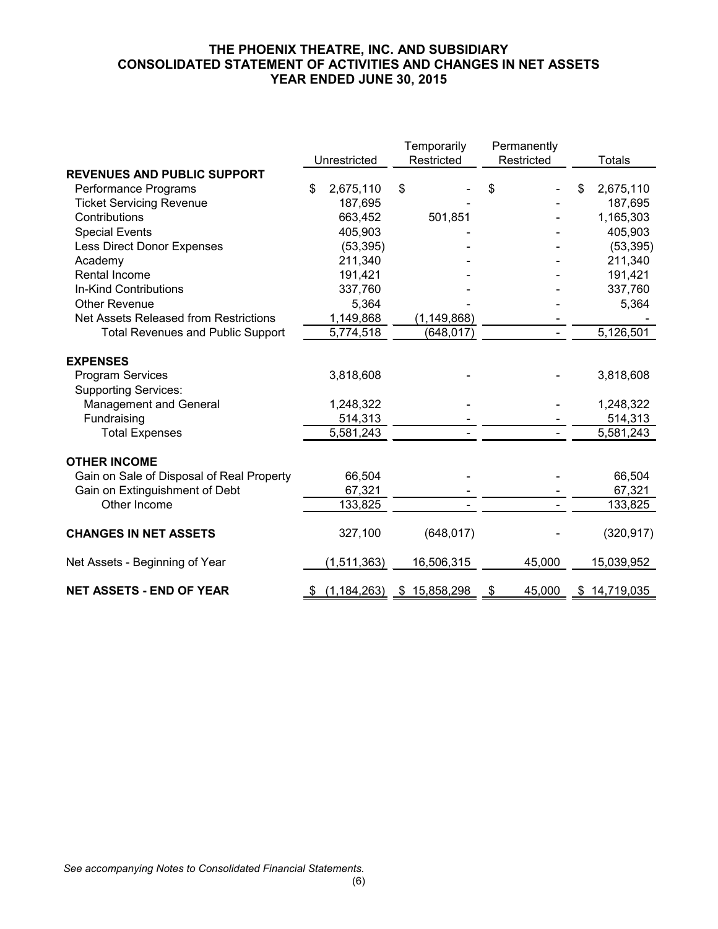## **THE PHOENIX THEATRE, INC. AND SUBSIDIARY CONSOLIDATED STATEMENT OF ACTIVITIES AND CHANGES IN NET ASSETS YEAR ENDED JUNE 30, 2015**

|                                           |                     | Temporarily      | Permanently  |    |               |
|-------------------------------------------|---------------------|------------------|--------------|----|---------------|
|                                           | Unrestricted        | Restricted       | Restricted   |    | <b>Totals</b> |
| <b>REVENUES AND PUBLIC SUPPORT</b>        |                     |                  |              |    |               |
| Performance Programs                      | \$<br>2,675,110     | \$               | \$           | S  | 2,675,110     |
| <b>Ticket Servicing Revenue</b>           | 187,695             |                  |              |    | 187,695       |
| Contributions                             | 663,452             | 501,851          |              |    | 1,165,303     |
| <b>Special Events</b>                     | 405,903             |                  |              |    | 405,903       |
| Less Direct Donor Expenses                | (53, 395)           |                  |              |    | (53, 395)     |
| Academy                                   | 211,340             |                  |              |    | 211,340       |
| Rental Income                             | 191,421             |                  |              |    | 191,421       |
| In-Kind Contributions                     | 337,760             |                  |              |    | 337,760       |
| <b>Other Revenue</b>                      | 5,364               |                  |              |    | 5,364         |
| Net Assets Released from Restrictions     | 1,149,868           | (1, 149, 868)    |              |    |               |
| <b>Total Revenues and Public Support</b>  | 5,774,518           | (648, 017)       |              |    | 5,126,501     |
|                                           |                     |                  |              |    |               |
| <b>EXPENSES</b>                           |                     |                  |              |    |               |
| <b>Program Services</b>                   | 3,818,608           |                  |              |    | 3,818,608     |
| <b>Supporting Services:</b>               |                     |                  |              |    |               |
| Management and General                    | 1,248,322           |                  |              |    | 1,248,322     |
| Fundraising                               | 514,313             |                  |              |    | 514,313       |
| <b>Total Expenses</b>                     | 5,581,243           |                  |              |    | 5,581,243     |
| <b>OTHER INCOME</b>                       |                     |                  |              |    |               |
| Gain on Sale of Disposal of Real Property | 66,504              |                  |              |    | 66,504        |
| Gain on Extinguishment of Debt            | 67,321              |                  |              |    | 67,321        |
| Other Income                              | 133,825             |                  |              |    | 133,825       |
| <b>CHANGES IN NET ASSETS</b>              | 327,100             | (648, 017)       |              |    | (320, 917)    |
| Net Assets - Beginning of Year            | (1,511,363)         | 16,506,315       | 45,000       |    | 15,039,952    |
| <b>NET ASSETS - END OF YEAR</b>           | \$<br>(1, 184, 263) | 15,858,298<br>\$ | \$<br>45,000 | \$ | 14,719,035    |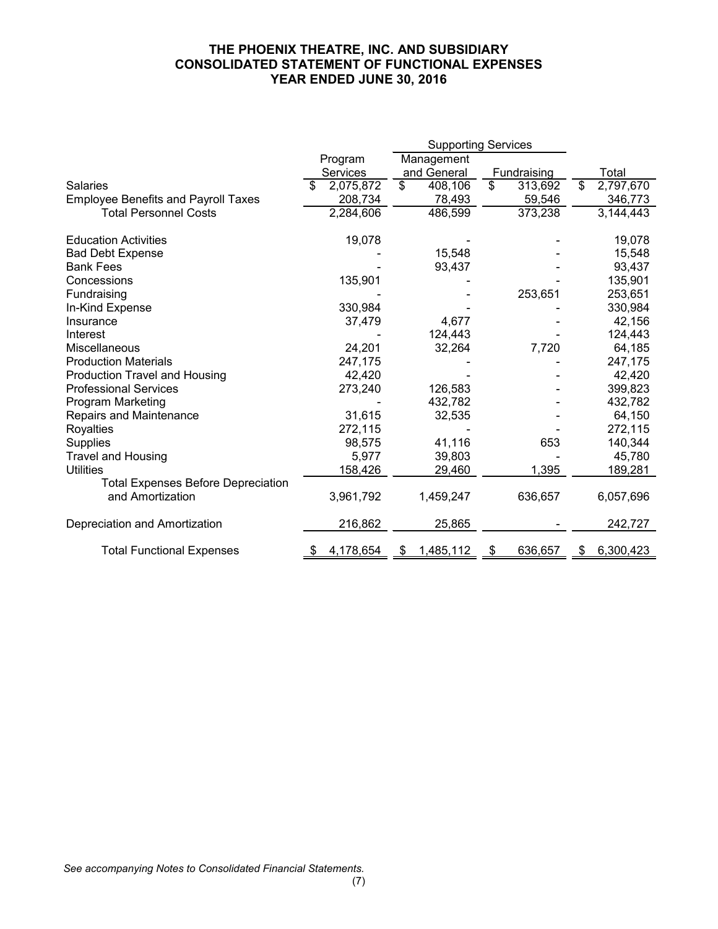## **THE PHOENIX THEATRE, INC. AND SUBSIDIARY CONSOLIDATED STATEMENT OF FUNCTIONAL EXPENSES YEAR ENDED JUNE 30, 2016**

|                                            | <b>Supporting Services</b> |                 |                      |                 |
|--------------------------------------------|----------------------------|-----------------|----------------------|-----------------|
|                                            | Program                    | Management      |                      |                 |
|                                            | <b>Services</b>            | and General     | Fundraising          | Total           |
| Salaries                                   | 2,075,872<br>\$            | \$<br>408,106   | \$<br>313,692        | 2,797,670<br>\$ |
| <b>Employee Benefits and Payroll Taxes</b> | 208,734                    | 78,493          | 59,546               | 346,773         |
| <b>Total Personnel Costs</b>               | 2,284,606                  | 486,599         | 373,238              | 3,144,443       |
| <b>Education Activities</b>                | 19,078                     |                 |                      | 19,078          |
| <b>Bad Debt Expense</b>                    |                            | 15,548          |                      | 15,548          |
| <b>Bank Fees</b>                           |                            | 93,437          |                      | 93,437          |
| Concessions                                | 135,901                    |                 |                      | 135,901         |
| Fundraising                                |                            |                 | 253,651              | 253,651         |
| In-Kind Expense                            | 330,984                    |                 |                      | 330,984         |
| Insurance                                  | 37,479                     | 4,677           |                      | 42,156          |
| Interest                                   |                            | 124,443         |                      | 124,443         |
| Miscellaneous                              | 24,201                     | 32,264          | 7,720                | 64,185          |
| <b>Production Materials</b>                | 247,175                    |                 |                      | 247,175         |
| Production Travel and Housing              | 42,420                     |                 |                      | 42,420          |
| <b>Professional Services</b>               | 273,240                    | 126,583         |                      | 399,823         |
| Program Marketing                          |                            | 432,782         |                      | 432,782         |
| Repairs and Maintenance                    | 31,615                     | 32,535          |                      | 64,150          |
| Royalties                                  | 272,115                    |                 |                      | 272,115         |
| <b>Supplies</b>                            | 98,575                     | 41,116          | 653                  | 140,344         |
| <b>Travel and Housing</b>                  | 5,977                      | 39,803          |                      | 45,780          |
| <b>Utilities</b>                           | 158,426                    | 29,460          | 1,395                | 189,281         |
| <b>Total Expenses Before Depreciation</b>  |                            |                 |                      |                 |
| and Amortization                           | 3,961,792                  | 1,459,247       | 636,657              | 6,057,696       |
| Depreciation and Amortization              | 216,862                    | 25,865          |                      | 242,727         |
| <b>Total Functional Expenses</b>           | 4,178,654                  | 1,485,112<br>\$ | 636,657<br><u>\$</u> | 6,300,423<br>\$ |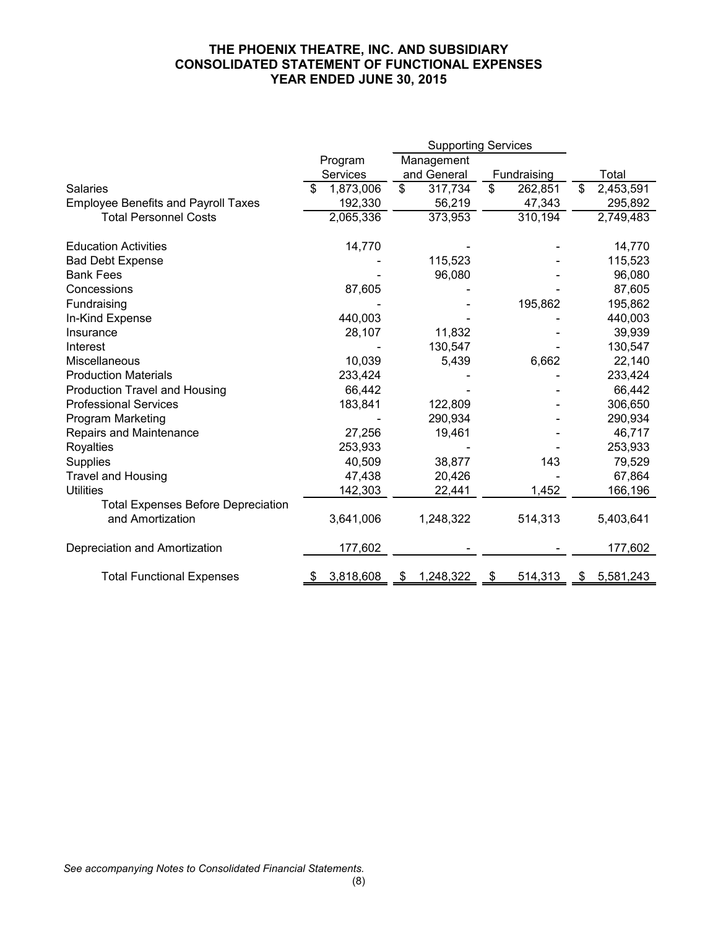## **THE PHOENIX THEATRE, INC. AND SUBSIDIARY CONSOLIDATED STATEMENT OF FUNCTIONAL EXPENSES YEAR ENDED JUNE 30, 2015**

|                                            | Program        | Management                |               |                 |
|--------------------------------------------|----------------|---------------------------|---------------|-----------------|
|                                            | Services       | and General               | Fundraising   | Total           |
| <b>Salaries</b>                            | 1,873,006<br>S | $\mathfrak{S}$<br>317,734 | 262,851<br>\$ | 2,453,591<br>S  |
| <b>Employee Benefits and Payroll Taxes</b> | 192,330        | 56,219                    | 47,343        | 295,892         |
| <b>Total Personnel Costs</b>               | 2,065,336      | 373,953                   | 310,194       | 2,749,483       |
| <b>Education Activities</b>                | 14,770         |                           |               | 14,770          |
| <b>Bad Debt Expense</b>                    |                | 115,523                   |               | 115,523         |
| <b>Bank Fees</b>                           |                | 96,080                    |               | 96,080          |
| Concessions                                | 87,605         |                           |               | 87,605          |
| Fundraising                                |                |                           | 195,862       | 195,862         |
| In-Kind Expense                            | 440,003        |                           |               | 440,003         |
| Insurance                                  | 28,107         | 11,832                    |               | 39,939          |
| Interest                                   |                | 130,547                   |               | 130,547         |
| Miscellaneous                              | 10,039         | 5,439                     | 6,662         | 22,140          |
| <b>Production Materials</b>                | 233,424        |                           |               | 233,424         |
| <b>Production Travel and Housing</b>       | 66,442         |                           |               | 66,442          |
| <b>Professional Services</b>               | 183,841        | 122,809                   |               | 306,650         |
| Program Marketing                          |                | 290,934                   |               | 290,934         |
| <b>Repairs and Maintenance</b>             | 27,256         | 19,461                    |               | 46,717          |
| Royalties                                  | 253,933        |                           |               | 253,933         |
| Supplies                                   | 40,509         | 38,877                    | 143           | 79,529          |
| <b>Travel and Housing</b>                  | 47,438         | 20,426                    |               | 67,864          |
| <b>Utilities</b>                           | 142,303        | 22,441                    | 1,452         | 166,196         |
| <b>Total Expenses Before Depreciation</b>  |                |                           |               |                 |
| and Amortization                           | 3,641,006      | 1,248,322                 | 514,313       | 5,403,641       |
| Depreciation and Amortization              | 177,602        |                           |               | 177,602         |
| <b>Total Functional Expenses</b>           | 3,818,608      | 1,248,322<br>\$           | 514,313<br>\$ | 5,581,243<br>P. |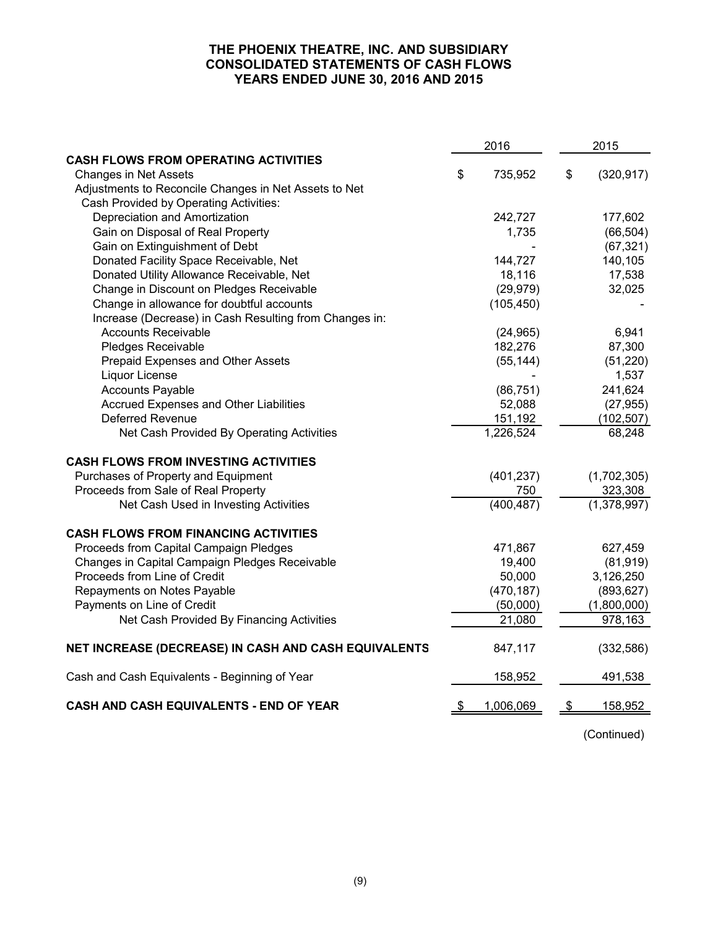### **THE PHOENIX THEATRE, INC. AND SUBSIDIARY CONSOLIDATED STATEMENTS OF CASH FLOWS YEARS ENDED JUNE 30, 2016 AND 2015**

|                                                        | 2016 |            | 2015 |             |  |
|--------------------------------------------------------|------|------------|------|-------------|--|
| <b>CASH FLOWS FROM OPERATING ACTIVITIES</b>            |      |            |      |             |  |
| <b>Changes in Net Assets</b>                           | \$   | 735,952    | \$   | (320, 917)  |  |
| Adjustments to Reconcile Changes in Net Assets to Net  |      |            |      |             |  |
| Cash Provided by Operating Activities:                 |      |            |      |             |  |
| Depreciation and Amortization                          |      | 242,727    |      | 177,602     |  |
| Gain on Disposal of Real Property                      |      | 1,735      |      | (66, 504)   |  |
| Gain on Extinguishment of Debt                         |      |            |      | (67, 321)   |  |
| Donated Facility Space Receivable, Net                 |      | 144,727    |      | 140,105     |  |
| Donated Utility Allowance Receivable, Net              |      | 18,116     |      | 17,538      |  |
| Change in Discount on Pledges Receivable               |      | (29, 979)  |      | 32,025      |  |
| Change in allowance for doubtful accounts              |      | (105, 450) |      |             |  |
| Increase (Decrease) in Cash Resulting from Changes in: |      |            |      |             |  |
| <b>Accounts Receivable</b>                             |      | (24, 965)  |      | 6,941       |  |
| Pledges Receivable                                     |      | 182,276    |      | 87,300      |  |
| Prepaid Expenses and Other Assets                      |      | (55, 144)  |      | (51, 220)   |  |
| Liquor License                                         |      |            |      | 1,537       |  |
| <b>Accounts Payable</b>                                |      | (86, 751)  |      | 241,624     |  |
| Accrued Expenses and Other Liabilities                 |      | 52,088     |      | (27, 955)   |  |
| <b>Deferred Revenue</b>                                |      | 151,192    |      | (102, 507)  |  |
| Net Cash Provided By Operating Activities              |      | 1,226,524  |      | 68,248      |  |
| <b>CASH FLOWS FROM INVESTING ACTIVITIES</b>            |      |            |      |             |  |
| Purchases of Property and Equipment                    |      | (401, 237) |      | (1,702,305) |  |
| Proceeds from Sale of Real Property                    |      | 750        |      | 323,308     |  |
| Net Cash Used in Investing Activities                  |      | (400, 487) |      | (1,378,997) |  |
| <b>CASH FLOWS FROM FINANCING ACTIVITIES</b>            |      |            |      |             |  |
| Proceeds from Capital Campaign Pledges                 |      | 471,867    |      | 627,459     |  |
| Changes in Capital Campaign Pledges Receivable         |      | 19,400     |      | (81, 919)   |  |
| Proceeds from Line of Credit                           |      | 50,000     |      | 3,126,250   |  |
| Repayments on Notes Payable                            |      | (470, 187) |      | (893, 627)  |  |
| Payments on Line of Credit                             |      | (50,000)   |      | (1,800,000) |  |
| Net Cash Provided By Financing Activities              |      | 21,080     |      | 978,163     |  |
| NET INCREASE (DECREASE) IN CASH AND CASH EQUIVALENTS   |      | 847,117    |      | (332, 586)  |  |
| Cash and Cash Equivalents - Beginning of Year          |      | 158,952    |      | 491,538     |  |
| CASH AND CASH EQUIVALENTS - END OF YEAR                |      | 1,006,069  | \$   | 158,952     |  |

(Continued)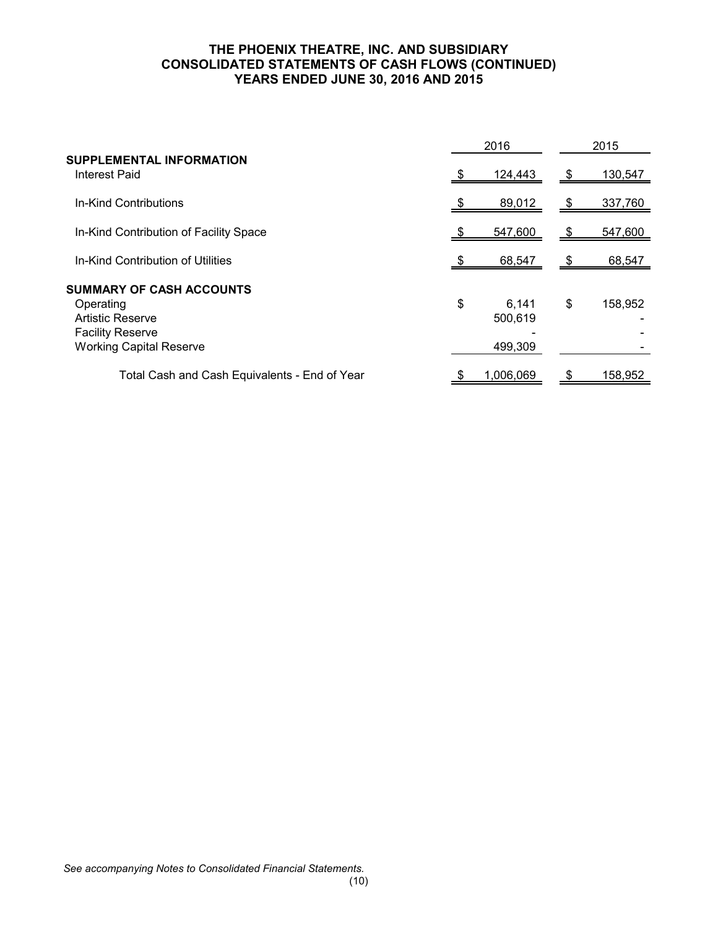## **THE PHOENIX THEATRE, INC. AND SUBSIDIARY CONSOLIDATED STATEMENTS OF CASH FLOWS (CONTINUED) YEARS ENDED JUNE 30, 2016 AND 2015**

|                                                                                                                                      | 2016                              |    | 2015    |
|--------------------------------------------------------------------------------------------------------------------------------------|-----------------------------------|----|---------|
| <b>SUPPLEMENTAL INFORMATION</b><br><b>Interest Paid</b>                                                                              | 124,443                           | S  | 130,547 |
| In-Kind Contributions                                                                                                                | 89,012                            | S  | 337,760 |
| In-Kind Contribution of Facility Space                                                                                               | 547,600                           | S  | 547,600 |
| In-Kind Contribution of Utilities                                                                                                    | 68,547                            |    | 68,547  |
| <b>SUMMARY OF CASH ACCOUNTS</b><br>Operating<br><b>Artistic Reserve</b><br><b>Facility Reserve</b><br><b>Working Capital Reserve</b> | \$<br>6,141<br>500,619<br>499,309 | \$ | 158,952 |
| Total Cash and Cash Equivalents - End of Year                                                                                        | 1,006,069                         |    | 158,952 |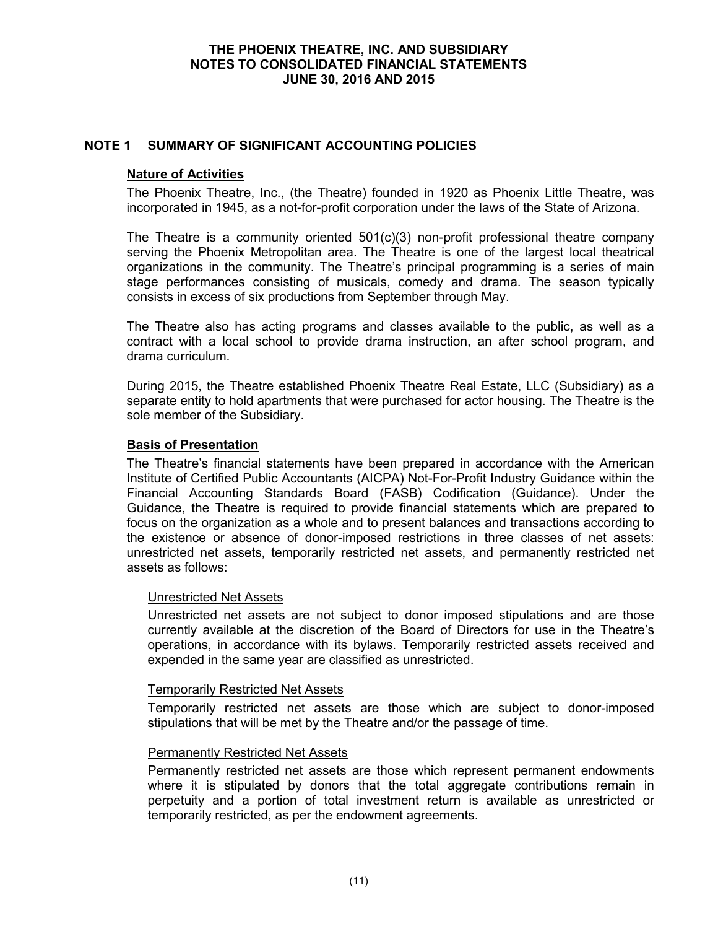### **NOTE 1 SUMMARY OF SIGNIFICANT ACCOUNTING POLICIES**

#### **Nature of Activities**

The Phoenix Theatre, Inc., (the Theatre) founded in 1920 as Phoenix Little Theatre, was incorporated in 1945, as a not-for-profit corporation under the laws of the State of Arizona.

The Theatre is a community oriented  $501(c)(3)$  non-profit professional theatre company serving the Phoenix Metropolitan area. The Theatre is one of the largest local theatrical organizations in the community. The Theatre's principal programming is a series of main stage performances consisting of musicals, comedy and drama. The season typically consists in excess of six productions from September through May.

The Theatre also has acting programs and classes available to the public, as well as a contract with a local school to provide drama instruction, an after school program, and drama curriculum.

During 2015, the Theatre established Phoenix Theatre Real Estate, LLC (Subsidiary) as a separate entity to hold apartments that were purchased for actor housing. The Theatre is the sole member of the Subsidiary.

### **Basis of Presentation**

The Theatre's financial statements have been prepared in accordance with the American Institute of Certified Public Accountants (AICPA) Not-For-Profit Industry Guidance within the Financial Accounting Standards Board (FASB) Codification (Guidance). Under the Guidance, the Theatre is required to provide financial statements which are prepared to focus on the organization as a whole and to present balances and transactions according to the existence or absence of donor-imposed restrictions in three classes of net assets: unrestricted net assets, temporarily restricted net assets, and permanently restricted net assets as follows:

#### Unrestricted Net Assets

Unrestricted net assets are not subject to donor imposed stipulations and are those currently available at the discretion of the Board of Directors for use in the Theatre's operations, in accordance with its bylaws. Temporarily restricted assets received and expended in the same year are classified as unrestricted.

#### Temporarily Restricted Net Assets

Temporarily restricted net assets are those which are subject to donor-imposed stipulations that will be met by the Theatre and/or the passage of time.

#### Permanently Restricted Net Assets

Permanently restricted net assets are those which represent permanent endowments where it is stipulated by donors that the total aggregate contributions remain in perpetuity and a portion of total investment return is available as unrestricted or temporarily restricted, as per the endowment agreements.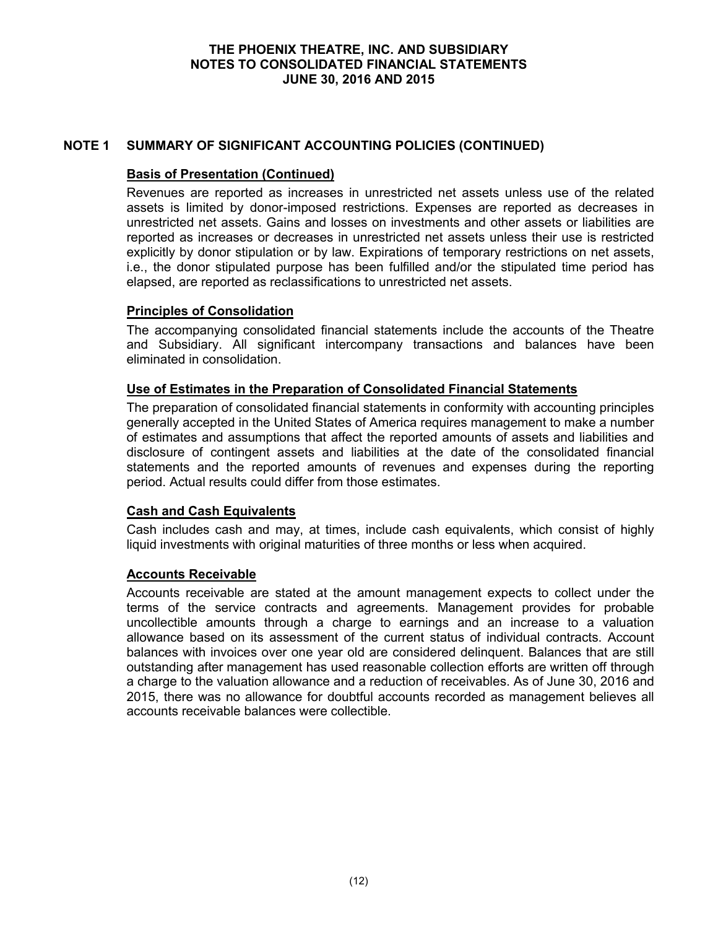## **NOTE 1 SUMMARY OF SIGNIFICANT ACCOUNTING POLICIES (CONTINUED)**

## **Basis of Presentation (Continued)**

Revenues are reported as increases in unrestricted net assets unless use of the related assets is limited by donor-imposed restrictions. Expenses are reported as decreases in unrestricted net assets. Gains and losses on investments and other assets or liabilities are reported as increases or decreases in unrestricted net assets unless their use is restricted explicitly by donor stipulation or by law. Expirations of temporary restrictions on net assets, i.e., the donor stipulated purpose has been fulfilled and/or the stipulated time period has elapsed, are reported as reclassifications to unrestricted net assets.

### **Principles of Consolidation**

The accompanying consolidated financial statements include the accounts of the Theatre and Subsidiary. All significant intercompany transactions and balances have been eliminated in consolidation.

### **Use of Estimates in the Preparation of Consolidated Financial Statements**

The preparation of consolidated financial statements in conformity with accounting principles generally accepted in the United States of America requires management to make a number of estimates and assumptions that affect the reported amounts of assets and liabilities and disclosure of contingent assets and liabilities at the date of the consolidated financial statements and the reported amounts of revenues and expenses during the reporting period. Actual results could differ from those estimates.

## **Cash and Cash Equivalents**

Cash includes cash and may, at times, include cash equivalents, which consist of highly liquid investments with original maturities of three months or less when acquired.

#### **Accounts Receivable**

Accounts receivable are stated at the amount management expects to collect under the terms of the service contracts and agreements. Management provides for probable uncollectible amounts through a charge to earnings and an increase to a valuation allowance based on its assessment of the current status of individual contracts. Account balances with invoices over one year old are considered delinquent. Balances that are still outstanding after management has used reasonable collection efforts are written off through a charge to the valuation allowance and a reduction of receivables. As of June 30, 2016 and 2015, there was no allowance for doubtful accounts recorded as management believes all accounts receivable balances were collectible.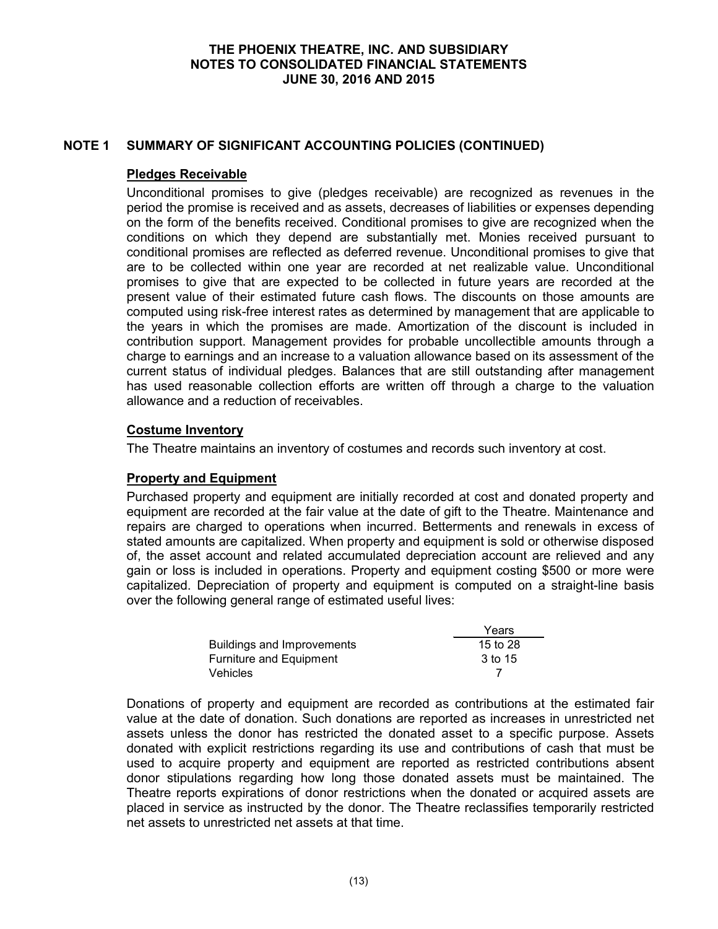### **NOTE 1 SUMMARY OF SIGNIFICANT ACCOUNTING POLICIES (CONTINUED)**

#### **Pledges Receivable**

Unconditional promises to give (pledges receivable) are recognized as revenues in the period the promise is received and as assets, decreases of liabilities or expenses depending on the form of the benefits received. Conditional promises to give are recognized when the conditions on which they depend are substantially met. Monies received pursuant to conditional promises are reflected as deferred revenue. Unconditional promises to give that are to be collected within one year are recorded at net realizable value. Unconditional promises to give that are expected to be collected in future years are recorded at the present value of their estimated future cash flows. The discounts on those amounts are computed using risk-free interest rates as determined by management that are applicable to the years in which the promises are made. Amortization of the discount is included in contribution support. Management provides for probable uncollectible amounts through a charge to earnings and an increase to a valuation allowance based on its assessment of the current status of individual pledges. Balances that are still outstanding after management has used reasonable collection efforts are written off through a charge to the valuation allowance and a reduction of receivables.

## **Costume Inventory**

The Theatre maintains an inventory of costumes and records such inventory at cost.

#### **Property and Equipment**

Purchased property and equipment are initially recorded at cost and donated property and equipment are recorded at the fair value at the date of gift to the Theatre. Maintenance and repairs are charged to operations when incurred. Betterments and renewals in excess of stated amounts are capitalized. When property and equipment is sold or otherwise disposed of, the asset account and related accumulated depreciation account are relieved and any gain or loss is included in operations. Property and equipment costing \$500 or more were capitalized. Depreciation of property and equipment is computed on a straight-line basis over the following general range of estimated useful lives:

|                            | Years    |
|----------------------------|----------|
| Buildings and Improvements | 15 to 28 |
| Furniture and Equipment    | 3 to 15  |
| <b>Vehicles</b>            |          |

Donations of property and equipment are recorded as contributions at the estimated fair value at the date of donation. Such donations are reported as increases in unrestricted net assets unless the donor has restricted the donated asset to a specific purpose. Assets donated with explicit restrictions regarding its use and contributions of cash that must be used to acquire property and equipment are reported as restricted contributions absent donor stipulations regarding how long those donated assets must be maintained. The Theatre reports expirations of donor restrictions when the donated or acquired assets are placed in service as instructed by the donor. The Theatre reclassifies temporarily restricted net assets to unrestricted net assets at that time.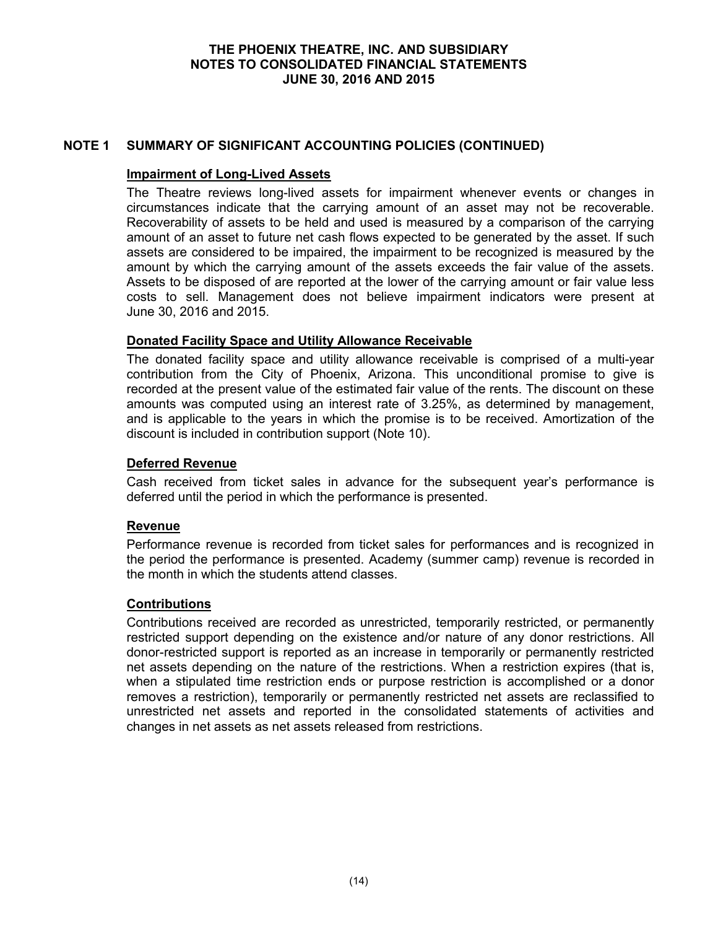### **NOTE 1 SUMMARY OF SIGNIFICANT ACCOUNTING POLICIES (CONTINUED)**

### **Impairment of Long-Lived Assets**

The Theatre reviews long-lived assets for impairment whenever events or changes in circumstances indicate that the carrying amount of an asset may not be recoverable. Recoverability of assets to be held and used is measured by a comparison of the carrying amount of an asset to future net cash flows expected to be generated by the asset. If such assets are considered to be impaired, the impairment to be recognized is measured by the amount by which the carrying amount of the assets exceeds the fair value of the assets. Assets to be disposed of are reported at the lower of the carrying amount or fair value less costs to sell. Management does not believe impairment indicators were present at June 30, 2016 and 2015.

### **Donated Facility Space and Utility Allowance Receivable**

The donated facility space and utility allowance receivable is comprised of a multi-year contribution from the City of Phoenix, Arizona. This unconditional promise to give is recorded at the present value of the estimated fair value of the rents. The discount on these amounts was computed using an interest rate of 3.25%, as determined by management, and is applicable to the years in which the promise is to be received. Amortization of the discount is included in contribution support (Note 10).

### **Deferred Revenue**

Cash received from ticket sales in advance for the subsequent year's performance is deferred until the period in which the performance is presented.

#### **Revenue**

Performance revenue is recorded from ticket sales for performances and is recognized in the period the performance is presented. Academy (summer camp) revenue is recorded in the month in which the students attend classes.

#### **Contributions**

Contributions received are recorded as unrestricted, temporarily restricted, or permanently restricted support depending on the existence and/or nature of any donor restrictions. All donor-restricted support is reported as an increase in temporarily or permanently restricted net assets depending on the nature of the restrictions. When a restriction expires (that is, when a stipulated time restriction ends or purpose restriction is accomplished or a donor removes a restriction), temporarily or permanently restricted net assets are reclassified to unrestricted net assets and reported in the consolidated statements of activities and changes in net assets as net assets released from restrictions.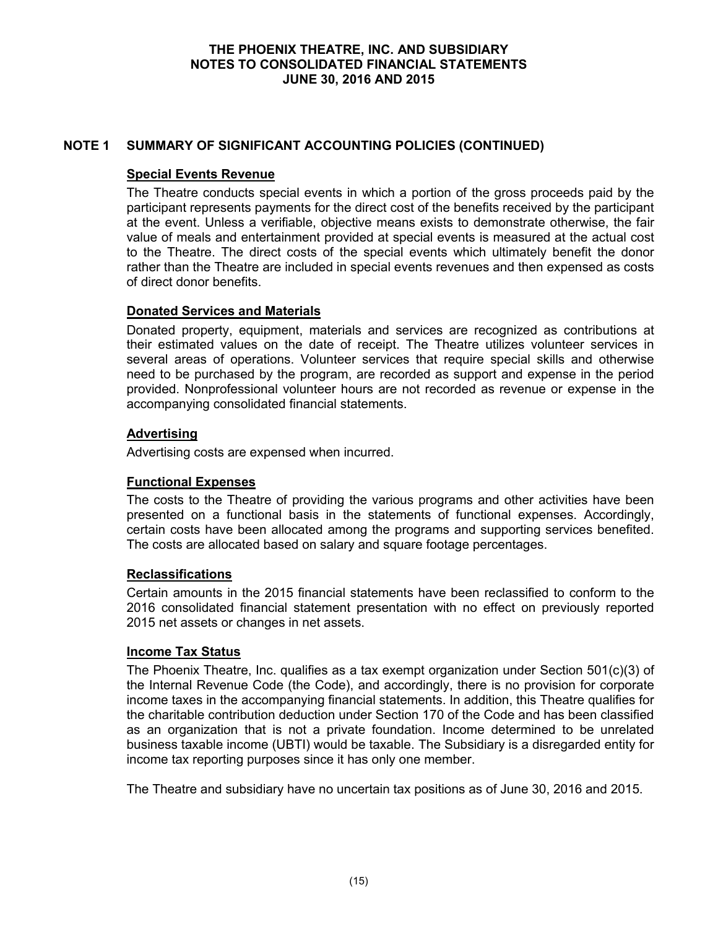## **NOTE 1 SUMMARY OF SIGNIFICANT ACCOUNTING POLICIES (CONTINUED)**

### **Special Events Revenue**

The Theatre conducts special events in which a portion of the gross proceeds paid by the participant represents payments for the direct cost of the benefits received by the participant at the event. Unless a verifiable, objective means exists to demonstrate otherwise, the fair value of meals and entertainment provided at special events is measured at the actual cost to the Theatre. The direct costs of the special events which ultimately benefit the donor rather than the Theatre are included in special events revenues and then expensed as costs of direct donor benefits.

### **Donated Services and Materials**

Donated property, equipment, materials and services are recognized as contributions at their estimated values on the date of receipt. The Theatre utilizes volunteer services in several areas of operations. Volunteer services that require special skills and otherwise need to be purchased by the program, are recorded as support and expense in the period provided. Nonprofessional volunteer hours are not recorded as revenue or expense in the accompanying consolidated financial statements.

### **Advertising**

Advertising costs are expensed when incurred.

## **Functional Expenses**

The costs to the Theatre of providing the various programs and other activities have been presented on a functional basis in the statements of functional expenses. Accordingly, certain costs have been allocated among the programs and supporting services benefited. The costs are allocated based on salary and square footage percentages.

## **Reclassifications**

Certain amounts in the 2015 financial statements have been reclassified to conform to the 2016 consolidated financial statement presentation with no effect on previously reported 2015 net assets or changes in net assets.

## **Income Tax Status**

The Phoenix Theatre, Inc. qualifies as a tax exempt organization under Section 501(c)(3) of the Internal Revenue Code (the Code), and accordingly, there is no provision for corporate income taxes in the accompanying financial statements. In addition, this Theatre qualifies for the charitable contribution deduction under Section 170 of the Code and has been classified as an organization that is not a private foundation. Income determined to be unrelated business taxable income (UBTI) would be taxable. The Subsidiary is a disregarded entity for income tax reporting purposes since it has only one member.

The Theatre and subsidiary have no uncertain tax positions as of June 30, 2016 and 2015.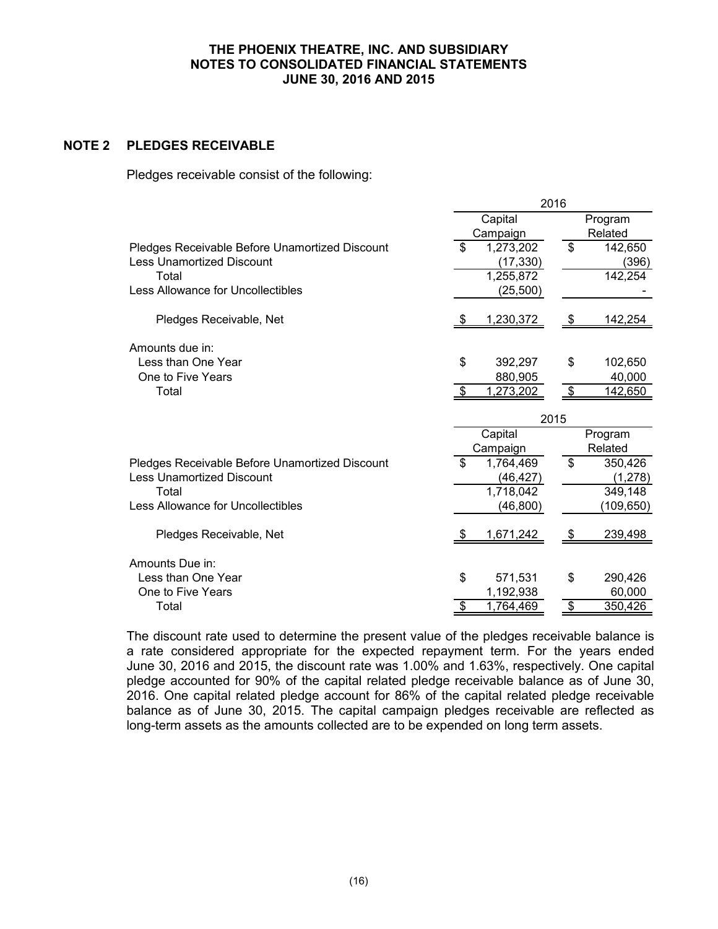## **NOTE 2 PLEDGES RECEIVABLE**

Pledges receivable consist of the following:

|                                                | 2016 |                  |            |            |  |
|------------------------------------------------|------|------------------|------------|------------|--|
|                                                |      | Capital          | Program    |            |  |
|                                                |      | Campaign         |            | Related    |  |
| Pledges Receivable Before Unamortized Discount | \$   | 1,273,202        | \$         | 142,650    |  |
| <b>Less Unamortized Discount</b>               |      | (17, 330)        |            | (396)      |  |
| Total                                          |      | 1,255,872        |            | 142,254    |  |
| Less Allowance for Uncollectibles              |      | (25,500)         |            |            |  |
| Pledges Receivable, Net                        | - 56 | 1,230,372        | \$         | 142,254    |  |
| Amounts due in:                                |      |                  |            |            |  |
| Less than One Year                             | \$   | 392,297          | \$         | 102,650    |  |
| One to Five Years                              |      | 880,905          |            | 40,000     |  |
| Total                                          | - \$ | 1,273,202        | $\sqrt{3}$ | 142,650    |  |
|                                                |      | 2015             |            |            |  |
|                                                |      | Capital          |            | Program    |  |
|                                                |      | Campaign         |            | Related    |  |
| Pledges Receivable Before Unamortized Discount | \$   | 1,764,469        | \$         | 350,426    |  |
| <b>Less Unamortized Discount</b>               |      | (46,427)         |            | (1, 278)   |  |
| Total                                          |      | 1,718,042        |            | 349,148    |  |
| Less Allowance for Uncollectibles              |      | (46, 800)        |            | (109, 650) |  |
| Pledges Receivable, Net                        |      | <u>1,671,242</u> | \$         | 239,498    |  |
| Amounts Due in:                                |      |                  |            |            |  |
| Less than One Year                             | \$   | 571,531          | \$         | 290,426    |  |
| One to Five Years                              |      | 1,192,938        |            | 60,000     |  |
| Total                                          |      | 1,764,469        | \$         | 350,426    |  |
|                                                |      |                  |            |            |  |

The discount rate used to determine the present value of the pledges receivable balance is a rate considered appropriate for the expected repayment term. For the years ended June 30, 2016 and 2015, the discount rate was 1.00% and 1.63%, respectively. One capital pledge accounted for 90% of the capital related pledge receivable balance as of June 30, 2016. One capital related pledge account for 86% of the capital related pledge receivable balance as of June 30, 2015. The capital campaign pledges receivable are reflected as long-term assets as the amounts collected are to be expended on long term assets.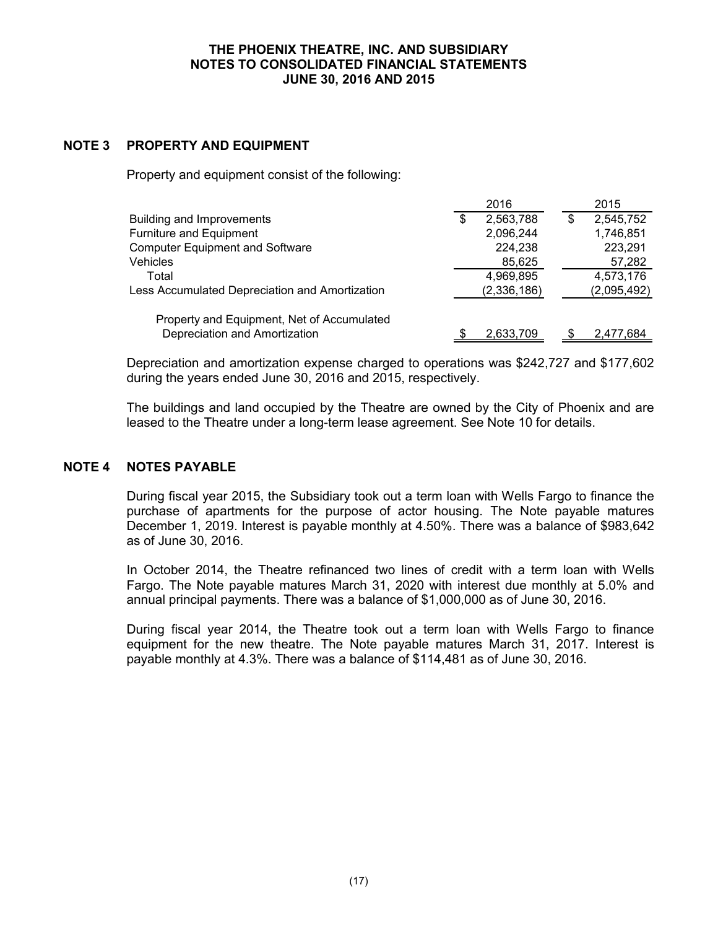## **NOTE 3 PROPERTY AND EQUIPMENT**

Property and equipment consist of the following:

|                                                | 2016            |   | 2015        |
|------------------------------------------------|-----------------|---|-------------|
| Building and Improvements                      | \$<br>2,563,788 | S | 2,545,752   |
| Furniture and Equipment                        | 2,096,244       |   | 1,746,851   |
| <b>Computer Equipment and Software</b>         | 224,238         |   | 223,291     |
| <b>Vehicles</b>                                | 85,625          |   | 57,282      |
| Total                                          | 4,969,895       |   | 4,573,176   |
| Less Accumulated Depreciation and Amortization | (2,336,186)     |   | (2,095,492) |
| Property and Equipment, Net of Accumulated     |                 |   |             |
| Depreciation and Amortization                  | 2,633,709       |   | 2,477,684   |

Depreciation and amortization expense charged to operations was \$242,727 and \$177,602 during the years ended June 30, 2016 and 2015, respectively.

The buildings and land occupied by the Theatre are owned by the City of Phoenix and are leased to the Theatre under a long-term lease agreement. See Note 10 for details.

### **NOTE 4 NOTES PAYABLE**

During fiscal year 2015, the Subsidiary took out a term loan with Wells Fargo to finance the purchase of apartments for the purpose of actor housing. The Note payable matures December 1, 2019. Interest is payable monthly at 4.50%. There was a balance of \$983,642 as of June 30, 2016.

In October 2014, the Theatre refinanced two lines of credit with a term loan with Wells Fargo. The Note payable matures March 31, 2020 with interest due monthly at 5.0% and annual principal payments. There was a balance of \$1,000,000 as of June 30, 2016.

During fiscal year 2014, the Theatre took out a term loan with Wells Fargo to finance equipment for the new theatre. The Note payable matures March 31, 2017. Interest is payable monthly at 4.3%. There was a balance of \$114,481 as of June 30, 2016.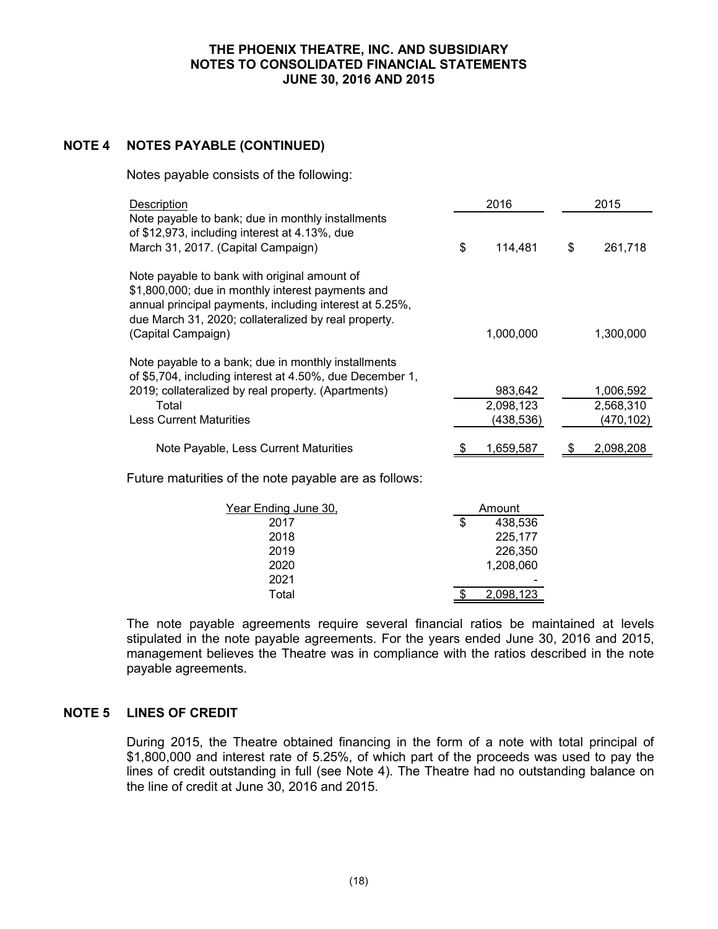# **NOTE 4 NOTES PAYABLE (CONTINUED)**

Notes payable consists of the following:

| Description                                                                                                                                                                                                                                |    | 2016                              |    | 2015                                |  |
|--------------------------------------------------------------------------------------------------------------------------------------------------------------------------------------------------------------------------------------------|----|-----------------------------------|----|-------------------------------------|--|
| Note payable to bank; due in monthly installments<br>of \$12,973, including interest at 4.13%, due<br>March 31, 2017. (Capital Campaign)                                                                                                   | \$ | 114,481                           | \$ | 261,718                             |  |
| Note payable to bank with original amount of<br>\$1,800,000; due in monthly interest payments and<br>annual principal payments, including interest at 5.25%,<br>due March 31, 2020; collateralized by real property.<br>(Capital Campaign) |    | 1,000,000                         |    | 1,300,000                           |  |
| Note payable to a bank; due in monthly installments<br>of \$5,704, including interest at 4.50%, due December 1,<br>2019; collateralized by real property. (Apartments)<br>Total<br><b>Less Current Maturities</b>                          |    | 983,642<br>2,098,123<br>(438,536) |    | 1,006,592<br>2,568,310<br>(470,102) |  |
| Note Payable, Less Current Maturities                                                                                                                                                                                                      |    | 1.659.587                         |    | 2,098,208                           |  |

Future maturities of the note payable are as follows:

| Year Ending June 30, | Amount |           |  |
|----------------------|--------|-----------|--|
| 2017                 | \$     | 438,536   |  |
| 2018                 |        | 225,177   |  |
| 2019                 |        | 226,350   |  |
| 2020                 |        | 1,208,060 |  |
| 2021                 |        |           |  |
| Total                |        | 2,098,123 |  |

The note payable agreements require several financial ratios be maintained at levels stipulated in the note payable agreements. For the years ended June 30, 2016 and 2015, management believes the Theatre was in compliance with the ratios described in the note payable agreements.

## **NOTE 5 LINES OF CREDIT**

During 2015, the Theatre obtained financing in the form of a note with total principal of \$1,800,000 and interest rate of 5.25%, of which part of the proceeds was used to pay the lines of credit outstanding in full (see Note 4). The Theatre had no outstanding balance on the line of credit at June 30, 2016 and 2015.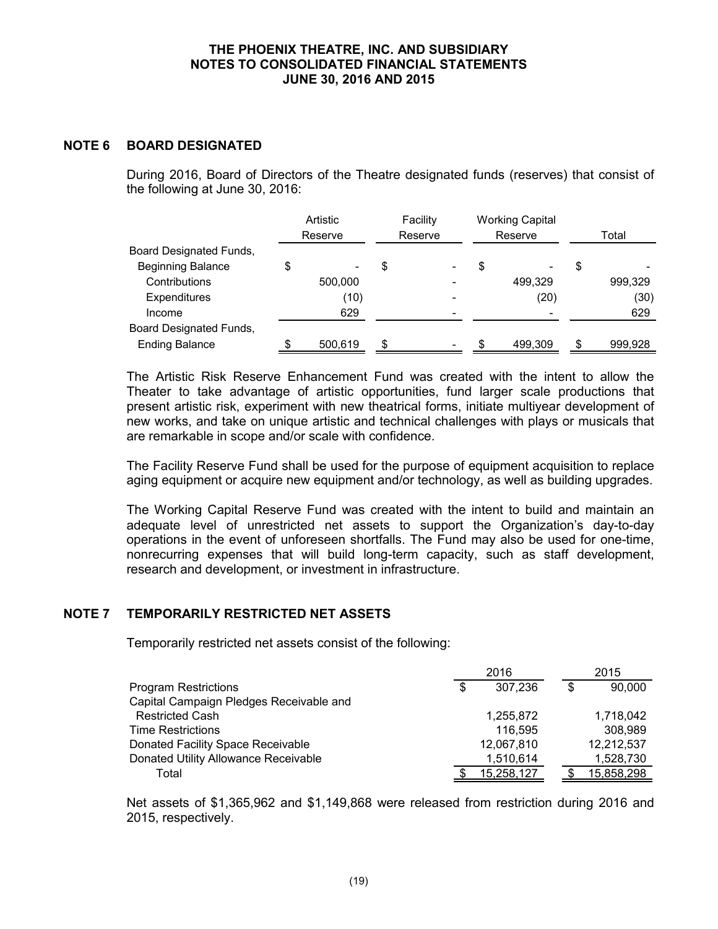### **NOTE 6 BOARD DESIGNATED**

During 2016, Board of Directors of the Theatre designated funds (reserves) that consist of the following at June 30, 2016:

|                          | Artistic<br>Reserve | Facility<br>Reserve | <b>Working Capital</b><br>Reserve |    | Total   |
|--------------------------|---------------------|---------------------|-----------------------------------|----|---------|
| Board Designated Funds,  |                     |                     |                                   |    |         |
| <b>Beginning Balance</b> | \$<br>٠             | \$                  | \$                                | S  |         |
| Contributions            | 500,000             |                     | 499,329                           |    | 999.329 |
| <b>Expenditures</b>      | (10)                |                     | (20)                              |    | (30)    |
| Income                   | 629                 |                     |                                   |    | 629     |
| Board Designated Funds,  |                     |                     |                                   |    |         |
| <b>Ending Balance</b>    | 500,619             | \$                  | \$<br>499,309                     | \$ | 999,928 |

The Artistic Risk Reserve Enhancement Fund was created with the intent to allow the Theater to take advantage of artistic opportunities, fund larger scale productions that present artistic risk, experiment with new theatrical forms, initiate multiyear development of new works, and take on unique artistic and technical challenges with plays or musicals that are remarkable in scope and/or scale with confidence.

The Facility Reserve Fund shall be used for the purpose of equipment acquisition to replace aging equipment or acquire new equipment and/or technology, as well as building upgrades.

The Working Capital Reserve Fund was created with the intent to build and maintain an adequate level of unrestricted net assets to support the Organization's day-to-day operations in the event of unforeseen shortfalls. The Fund may also be used for one-time, nonrecurring expenses that will build long-term capacity, such as staff development, research and development, or investment in infrastructure.

## **NOTE 7 TEMPORARILY RESTRICTED NET ASSETS**

Temporarily restricted net assets consist of the following:

| 2016 |            |   | 2015       |  |
|------|------------|---|------------|--|
| \$   | 307,236    | S | 90,000     |  |
|      |            |   |            |  |
|      | 1,255,872  |   | 1,718,042  |  |
|      | 116.595    |   | 308,989    |  |
|      | 12,067,810 |   | 12,212,537 |  |
|      | 1,510,614  |   | 1,528,730  |  |
|      | 15,258,127 |   | 15,858,298 |  |
|      |            |   |            |  |

Net assets of \$1,365,962 and \$1,149,868 were released from restriction during 2016 and 2015, respectively.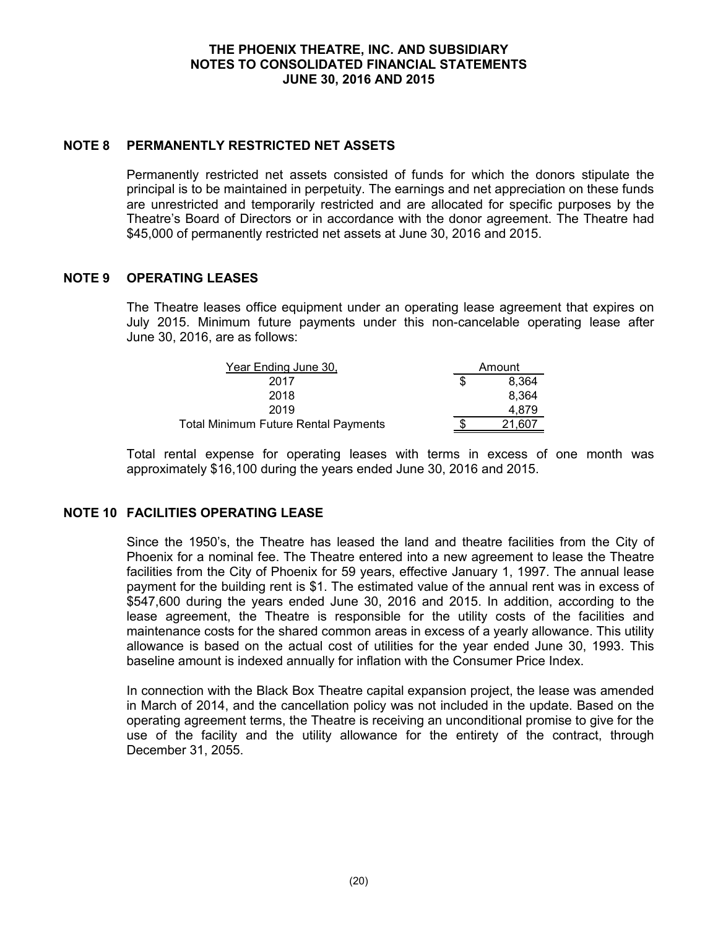### **NOTE 8 PERMANENTLY RESTRICTED NET ASSETS**

Permanently restricted net assets consisted of funds for which the donors stipulate the principal is to be maintained in perpetuity. The earnings and net appreciation on these funds are unrestricted and temporarily restricted and are allocated for specific purposes by the Theatre's Board of Directors or in accordance with the donor agreement. The Theatre had \$45,000 of permanently restricted net assets at June 30, 2016 and 2015.

#### **NOTE 9 OPERATING LEASES**

The Theatre leases office equipment under an operating lease agreement that expires on July 2015. Minimum future payments under this non-cancelable operating lease after June 30, 2016, are as follows:

| Year Ending June 30,                        |   | Amount |  |
|---------------------------------------------|---|--------|--|
| 2017                                        | S | 8.364  |  |
| 2018                                        |   | 8.364  |  |
| 2019                                        |   | 4.879  |  |
| <b>Total Minimum Future Rental Payments</b> |   | .607   |  |

Total rental expense for operating leases with terms in excess of one month was approximately \$16,100 during the years ended June 30, 2016 and 2015.

## **NOTE 10 FACILITIES OPERATING LEASE**

Since the 1950's, the Theatre has leased the land and theatre facilities from the City of Phoenix for a nominal fee. The Theatre entered into a new agreement to lease the Theatre facilities from the City of Phoenix for 59 years, effective January 1, 1997. The annual lease payment for the building rent is \$1. The estimated value of the annual rent was in excess of \$547,600 during the years ended June 30, 2016 and 2015. In addition, according to the lease agreement, the Theatre is responsible for the utility costs of the facilities and maintenance costs for the shared common areas in excess of a yearly allowance. This utility allowance is based on the actual cost of utilities for the year ended June 30, 1993. This baseline amount is indexed annually for inflation with the Consumer Price Index.

In connection with the Black Box Theatre capital expansion project, the lease was amended in March of 2014, and the cancellation policy was not included in the update. Based on the operating agreement terms, the Theatre is receiving an unconditional promise to give for the use of the facility and the utility allowance for the entirety of the contract, through December 31, 2055.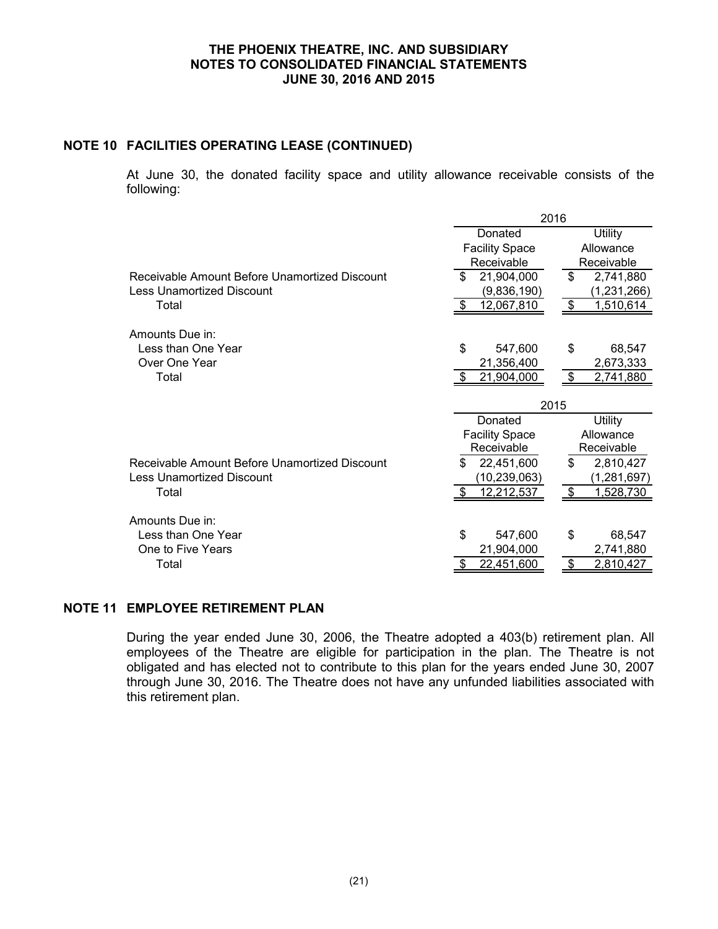## **NOTE 10 FACILITIES OPERATING LEASE (CONTINUED)**

At June 30, the donated facility space and utility allowance receivable consists of the following:

|                                               |                       | 2016              |  |  |
|-----------------------------------------------|-----------------------|-------------------|--|--|
|                                               | Donated               | Utility           |  |  |
|                                               | <b>Facility Space</b> | Allowance         |  |  |
|                                               | Receivable            | Receivable        |  |  |
| Receivable Amount Before Unamortized Discount | \$<br>21,904,000      | \$<br>2,741,880   |  |  |
| <b>Less Unamortized Discount</b>              | (9,836,190)           | (1,231,266)       |  |  |
| Total                                         | 12,067,810            | 1,510,614<br>- \$ |  |  |
| Amounts Due in:                               |                       |                   |  |  |
| Less than One Year                            | \$<br>547,600         | \$<br>68,547      |  |  |
| Over One Year                                 | 21,356,400            | 2,673,333         |  |  |
| Total                                         | 21,904,000            | 2,741,880<br>-\$  |  |  |
|                                               |                       | 2015              |  |  |
|                                               | Donated               | <b>Utility</b>    |  |  |
|                                               | <b>Facility Space</b> | Allowance         |  |  |
|                                               | Receivable            | Receivable        |  |  |
| Receivable Amount Before Unamortized Discount | \$<br>22,451,600      | \$<br>2,810,427   |  |  |
| Less Unamortized Discount                     | (10,239,063)          | (1, 281, 697)     |  |  |
| Total                                         | 12,212,537            | -\$<br>1,528,730  |  |  |
| Amounts Due in:                               |                       |                   |  |  |
| Less than One Year                            | \$<br>547,600         | \$<br>68,547      |  |  |
| One to Five Years                             | 21,904,000            | 2,741,880         |  |  |
|                                               |                       |                   |  |  |
| Total                                         | 22,451,600            | 2,810,427<br>S    |  |  |

## **NOTE 11 EMPLOYEE RETIREMENT PLAN**

During the year ended June 30, 2006, the Theatre adopted a 403(b) retirement plan. All employees of the Theatre are eligible for participation in the plan. The Theatre is not obligated and has elected not to contribute to this plan for the years ended June 30, 2007 through June 30, 2016. The Theatre does not have any unfunded liabilities associated with this retirement plan.